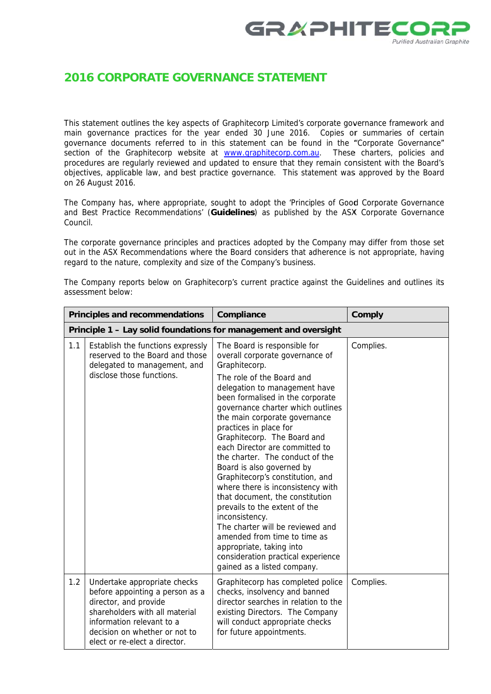

## **2016 CORPORATE GOVERNANCE STATEMENT**

This statement outlines the key aspects of Graphitecorp Limited's corporate governance framework and main governance practices for the year ended 30 June 2016. Copies or summaries of certain governance documents referred to in this statement can be found in the "Corporate Governance" section of the Graphitecorp website at www.graphitecorp.com.au. These charters, policies and procedures are regularly reviewed and updated to ensure that they remain consistent with the Board's objectives, applicable law, and best practice governance. This statement was approved by the Board on 26 August 2016.

The Company has, where appropriate, sought to adopt the 'Principles of Good Corporate Governance and Best Practice Recommendations' (Guidelines) as published by the ASX Corporate Governance Council

The corporate governance principles and practices adopted by the Company may differ from those set out in the ASX Recommendations where the Board considers that adherence is not appropriate, having regard to the nature, complexity and size of the Company's business.

| Principles and recommendations |                                                                                                                                                                                                                           | Compliance                                                                                                                                                                                                                                                                                                                                                                                                                                                                                                                                                                                                                                                                                                                                              | Comply    |  |
|--------------------------------|---------------------------------------------------------------------------------------------------------------------------------------------------------------------------------------------------------------------------|---------------------------------------------------------------------------------------------------------------------------------------------------------------------------------------------------------------------------------------------------------------------------------------------------------------------------------------------------------------------------------------------------------------------------------------------------------------------------------------------------------------------------------------------------------------------------------------------------------------------------------------------------------------------------------------------------------------------------------------------------------|-----------|--|
|                                | Principle 1 - Lay solid foundations for management and oversight                                                                                                                                                          |                                                                                                                                                                                                                                                                                                                                                                                                                                                                                                                                                                                                                                                                                                                                                         |           |  |
| 1.1                            | Establish the functions expressly<br>reserved to the Board and those<br>delegated to management, and<br>disclose those functions.                                                                                         | The Board is responsible for<br>overall corporate governance of<br>Graphitecorp.<br>The role of the Board and<br>delegation to management have<br>been formalised in the corporate<br>governance charter which outlines<br>the main corporate governance<br>practices in place for<br>Graphitecorp. The Board and<br>each Director are committed to<br>the charter. The conduct of the<br>Board is also governed by<br>Graphitecorp's constitution, and<br>where there is inconsistency with<br>that document, the constitution<br>prevails to the extent of the<br>inconsistency.<br>The charter will be reviewed and<br>amended from time to time as<br>appropriate, taking into<br>consideration practical experience<br>gained as a listed company. | Complies. |  |
| 1.2                            | Undertake appropriate checks<br>before appointing a person as a<br>director, and provide<br>shareholders with all material<br>information relevant to a<br>decision on whether or not to<br>elect or re-elect a director. | Graphitecorp has completed police<br>checks, insolvency and banned<br>director searches in relation to the<br>existing Directors. The Company<br>will conduct appropriate checks<br>for future appointments.                                                                                                                                                                                                                                                                                                                                                                                                                                                                                                                                            | Complies. |  |

The Company reports below on Graphitecorp's current practice against the Guidelines and outlines its assessment below: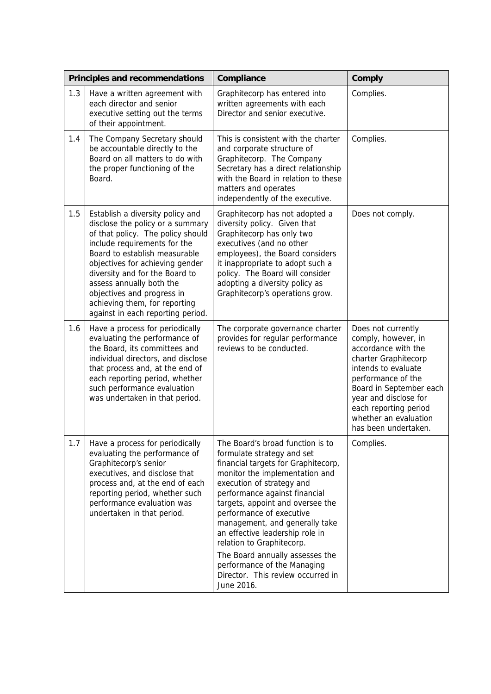|     | Principles and recommendations                                                                                                                                                                                                                                                                                                                                                  | Compliance                                                                                                                                                                                                                                                                                                                                                                                                                                                                                   | Comply                                                                                                                                                                                                                                                              |
|-----|---------------------------------------------------------------------------------------------------------------------------------------------------------------------------------------------------------------------------------------------------------------------------------------------------------------------------------------------------------------------------------|----------------------------------------------------------------------------------------------------------------------------------------------------------------------------------------------------------------------------------------------------------------------------------------------------------------------------------------------------------------------------------------------------------------------------------------------------------------------------------------------|---------------------------------------------------------------------------------------------------------------------------------------------------------------------------------------------------------------------------------------------------------------------|
| 1.3 | Have a written agreement with<br>each director and senior<br>executive setting out the terms<br>of their appointment.                                                                                                                                                                                                                                                           | Graphitecorp has entered into<br>written agreements with each<br>Director and senior executive.                                                                                                                                                                                                                                                                                                                                                                                              | Complies.                                                                                                                                                                                                                                                           |
| 1.4 | The Company Secretary should<br>be accountable directly to the<br>Board on all matters to do with<br>the proper functioning of the<br>Board.                                                                                                                                                                                                                                    | This is consistent with the charter<br>and corporate structure of<br>Graphitecorp. The Company<br>Secretary has a direct relationship<br>with the Board in relation to these<br>matters and operates<br>independently of the executive.                                                                                                                                                                                                                                                      | Complies.                                                                                                                                                                                                                                                           |
| 1.5 | Establish a diversity policy and<br>disclose the policy or a summary<br>of that policy. The policy should<br>include requirements for the<br>Board to establish measurable<br>objectives for achieving gender<br>diversity and for the Board to<br>assess annually both the<br>objectives and progress in<br>achieving them, for reporting<br>against in each reporting period. | Graphitecorp has not adopted a<br>diversity policy. Given that<br>Graphitecorp has only two<br>executives (and no other<br>employees), the Board considers<br>it inappropriate to adopt such a<br>policy. The Board will consider<br>adopting a diversity policy as<br>Graphitecorp's operations grow.                                                                                                                                                                                       | Does not comply.                                                                                                                                                                                                                                                    |
| 1.6 | Have a process for periodically<br>evaluating the performance of<br>the Board, its committees and<br>individual directors, and disclose<br>that process and, at the end of<br>each reporting period, whether<br>such performance evaluation<br>was undertaken in that period.                                                                                                   | The corporate governance charter<br>provides for regular performance<br>reviews to be conducted.                                                                                                                                                                                                                                                                                                                                                                                             | Does not currently<br>comply, however, in<br>accordance with the<br>charter Graphitecorp<br>intends to evaluate<br>performance of the<br>Board in September each<br>year and disclose for<br>each reporting period<br>whether an evaluation<br>has been undertaken. |
| 1.7 | Have a process for periodically<br>evaluating the performance of<br>Graphitecorp's senior<br>executives, and disclose that<br>process and, at the end of each<br>reporting period, whether such<br>performance evaluation was<br>undertaken in that period.                                                                                                                     | The Board's broad function is to<br>formulate strategy and set<br>financial targets for Graphitecorp,<br>monitor the implementation and<br>execution of strategy and<br>performance against financial<br>targets, appoint and oversee the<br>performance of executive<br>management, and generally take<br>an effective leadership role in<br>relation to Graphitecorp.<br>The Board annually assesses the<br>performance of the Managing<br>Director. This review occurred in<br>June 2016. | Complies.                                                                                                                                                                                                                                                           |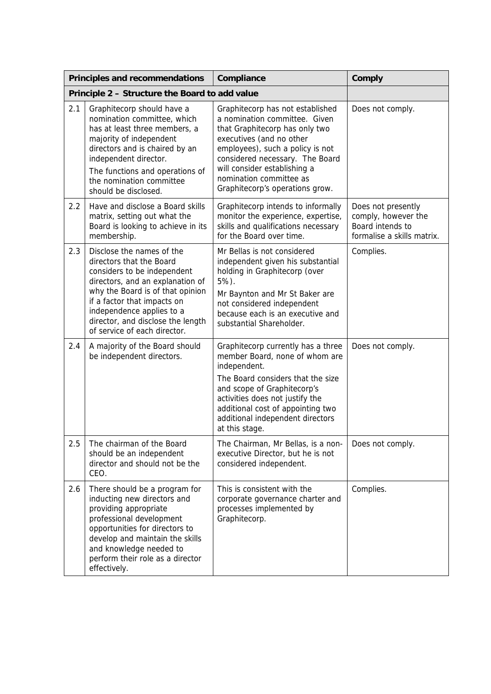|     | <b>Principles and recommendations</b>                                                                                                                                                                                                                                                         | Compliance                                                                                                                                                                                                                                                                                           | Comply                                                                                      |
|-----|-----------------------------------------------------------------------------------------------------------------------------------------------------------------------------------------------------------------------------------------------------------------------------------------------|------------------------------------------------------------------------------------------------------------------------------------------------------------------------------------------------------------------------------------------------------------------------------------------------------|---------------------------------------------------------------------------------------------|
|     | Principle 2 - Structure the Board to add value                                                                                                                                                                                                                                                |                                                                                                                                                                                                                                                                                                      |                                                                                             |
| 2.1 | Graphitecorp should have a<br>nomination committee, which<br>has at least three members, a<br>majority of independent<br>directors and is chaired by an<br>independent director.<br>The functions and operations of<br>the nomination committee<br>should be disclosed.                       | Graphitecorp has not established<br>a nomination committee. Given<br>that Graphitecorp has only two<br>executives (and no other<br>employees), such a policy is not<br>considered necessary. The Board<br>will consider establishing a<br>nomination committee as<br>Graphitecorp's operations grow. | Does not comply.                                                                            |
| 2.2 | Have and disclose a Board skills<br>matrix, setting out what the<br>Board is looking to achieve in its<br>membership.                                                                                                                                                                         | Graphitecorp intends to informally<br>monitor the experience, expertise,<br>skills and qualifications necessary<br>for the Board over time.                                                                                                                                                          | Does not presently<br>comply, however the<br>Board intends to<br>formalise a skills matrix. |
| 2.3 | Disclose the names of the<br>directors that the Board<br>considers to be independent<br>directors, and an explanation of<br>why the Board is of that opinion<br>if a factor that impacts on<br>independence applies to a<br>director, and disclose the length<br>of service of each director. | Mr Bellas is not considered<br>independent given his substantial<br>holding in Graphitecorp (over<br>5%).<br>Mr Baynton and Mr St Baker are<br>not considered independent<br>because each is an executive and<br>substantial Shareholder.                                                            | Complies.                                                                                   |
| 2.4 | A majority of the Board should<br>be independent directors.                                                                                                                                                                                                                                   | Graphitecorp currently has a three<br>member Board, none of whom are<br>independent.<br>The Board considers that the size<br>and scope of Graphitecorp's<br>activities does not justify the<br>additional cost of appointing two<br>additional independent directors<br>at this stage.               | Does not comply.                                                                            |
| 2.5 | The chairman of the Board<br>should be an independent<br>director and should not be the<br>CEO.                                                                                                                                                                                               | The Chairman, Mr Bellas, is a non-<br>executive Director, but he is not<br>considered independent.                                                                                                                                                                                                   | Does not comply.                                                                            |
| 2.6 | There should be a program for<br>inducting new directors and<br>providing appropriate<br>professional development<br>opportunities for directors to<br>develop and maintain the skills<br>and knowledge needed to<br>perform their role as a director<br>effectively.                         | This is consistent with the<br>corporate governance charter and<br>processes implemented by<br>Graphitecorp.                                                                                                                                                                                         | Complies.                                                                                   |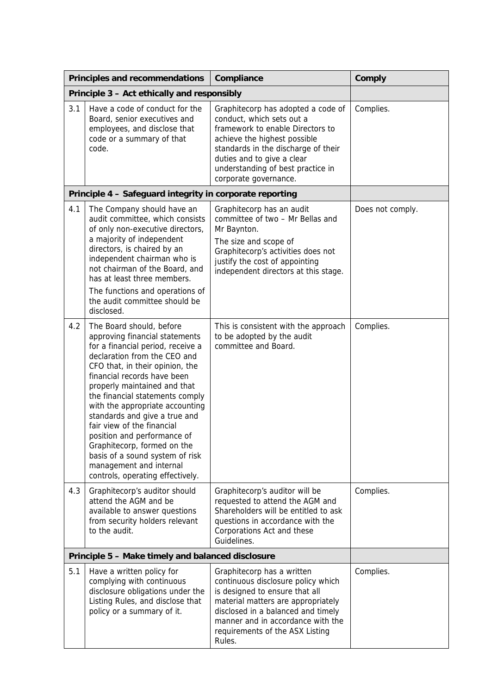|                                                   | Principles and recommendations                                                                                                                                                                                                                                                                                                                                                                                                                                                                                                         | Compliance                                                                                                                                                                                                                                                             | Comply           |
|---------------------------------------------------|----------------------------------------------------------------------------------------------------------------------------------------------------------------------------------------------------------------------------------------------------------------------------------------------------------------------------------------------------------------------------------------------------------------------------------------------------------------------------------------------------------------------------------------|------------------------------------------------------------------------------------------------------------------------------------------------------------------------------------------------------------------------------------------------------------------------|------------------|
| Principle 3 - Act ethically and responsibly       |                                                                                                                                                                                                                                                                                                                                                                                                                                                                                                                                        |                                                                                                                                                                                                                                                                        |                  |
| 3.1                                               | Have a code of conduct for the<br>Board, senior executives and<br>employees, and disclose that<br>code or a summary of that<br>code.                                                                                                                                                                                                                                                                                                                                                                                                   | Graphitecorp has adopted a code of<br>conduct, which sets out a<br>framework to enable Directors to<br>achieve the highest possible<br>standards in the discharge of their<br>duties and to give a clear<br>understanding of best practice in<br>corporate governance. | Complies.        |
|                                                   | Principle 4 - Safeguard integrity in corporate reporting                                                                                                                                                                                                                                                                                                                                                                                                                                                                               |                                                                                                                                                                                                                                                                        |                  |
| 4.1                                               | The Company should have an<br>audit committee, which consists<br>of only non-executive directors,<br>a majority of independent<br>directors, is chaired by an<br>independent chairman who is<br>not chairman of the Board, and<br>has at least three members.<br>The functions and operations of<br>the audit committee should be<br>disclosed.                                                                                                                                                                                        | Graphitecorp has an audit<br>committee of two - Mr Bellas and<br>Mr Baynton.<br>The size and scope of<br>Graphitecorp's activities does not<br>justify the cost of appointing<br>independent directors at this stage.                                                  | Does not comply. |
| 4.2                                               | The Board should, before<br>approving financial statements<br>for a financial period, receive a<br>declaration from the CEO and<br>CFO that, in their opinion, the<br>financial records have been<br>properly maintained and that<br>the financial statements comply<br>with the appropriate accounting<br>standards and give a true and<br>fair view of the financial<br>position and performance of<br>Graphitecorp, formed on the<br>basis of a sound system of risk<br>management and internal<br>controls, operating effectively. | This is consistent with the approach<br>to be adopted by the audit<br>committee and Board.                                                                                                                                                                             | Complies.        |
| 4.3                                               | Graphitecorp's auditor should<br>attend the AGM and be<br>available to answer questions<br>from security holders relevant<br>to the audit.                                                                                                                                                                                                                                                                                                                                                                                             | Graphitecorp's auditor will be<br>requested to attend the AGM and<br>Shareholders will be entitled to ask<br>questions in accordance with the<br>Corporations Act and these<br>Guidelines.                                                                             | Complies.        |
| Principle 5 - Make timely and balanced disclosure |                                                                                                                                                                                                                                                                                                                                                                                                                                                                                                                                        |                                                                                                                                                                                                                                                                        |                  |
| 5.1                                               | Have a written policy for<br>complying with continuous<br>disclosure obligations under the<br>Listing Rules, and disclose that<br>policy or a summary of it.                                                                                                                                                                                                                                                                                                                                                                           | Graphitecorp has a written<br>continuous disclosure policy which<br>is designed to ensure that all<br>material matters are appropriately<br>disclosed in a balanced and timely<br>manner and in accordance with the<br>requirements of the ASX Listing<br>Rules.       | Complies.        |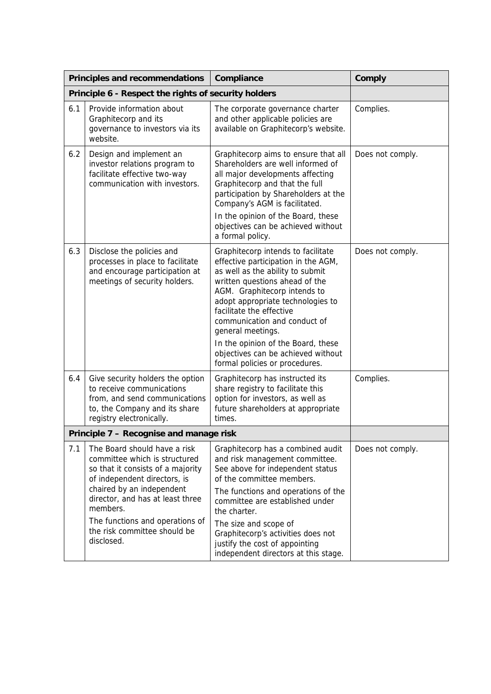|                                         | <b>Principles and recommendations</b>                                                                                                                                                                                                                                                            | Compliance                                                                                                                                                                                                                                                                                                                                                                                                          | Comply           |
|-----------------------------------------|--------------------------------------------------------------------------------------------------------------------------------------------------------------------------------------------------------------------------------------------------------------------------------------------------|---------------------------------------------------------------------------------------------------------------------------------------------------------------------------------------------------------------------------------------------------------------------------------------------------------------------------------------------------------------------------------------------------------------------|------------------|
|                                         | Principle 6 - Respect the rights of security holders                                                                                                                                                                                                                                             |                                                                                                                                                                                                                                                                                                                                                                                                                     |                  |
| 6.1                                     | Provide information about<br>Graphitecorp and its<br>governance to investors via its<br>website.                                                                                                                                                                                                 | The corporate governance charter<br>and other applicable policies are<br>available on Graphitecorp's website.                                                                                                                                                                                                                                                                                                       | Complies.        |
| 6.2                                     | Design and implement an<br>investor relations program to<br>facilitate effective two-way<br>communication with investors.                                                                                                                                                                        | Graphitecorp aims to ensure that all<br>Shareholders are well informed of<br>all major developments affecting<br>Graphitecorp and that the full<br>participation by Shareholders at the<br>Company's AGM is facilitated.<br>In the opinion of the Board, these<br>objectives can be achieved without<br>a formal policy.                                                                                            | Does not comply. |
| 6.3                                     | Disclose the policies and<br>processes in place to facilitate<br>and encourage participation at<br>meetings of security holders.                                                                                                                                                                 | Graphitecorp intends to facilitate<br>effective participation in the AGM,<br>as well as the ability to submit<br>written questions ahead of the<br>AGM. Graphitecorp intends to<br>adopt appropriate technologies to<br>facilitate the effective<br>communication and conduct of<br>general meetings.<br>In the opinion of the Board, these<br>objectives can be achieved without<br>formal policies or procedures. | Does not comply. |
| 6.4                                     | Give security holders the option<br>to receive communications<br>from, and send communications<br>to, the Company and its share<br>registry electronically.                                                                                                                                      | Graphitecorp has instructed its<br>share registry to facilitate this<br>option for investors, as well as<br>future shareholders at appropriate<br>times.                                                                                                                                                                                                                                                            | Complies.        |
| Principle 7 - Recognise and manage risk |                                                                                                                                                                                                                                                                                                  |                                                                                                                                                                                                                                                                                                                                                                                                                     |                  |
| 7.1                                     | The Board should have a risk<br>committee which is structured<br>so that it consists of a majority<br>of independent directors, is<br>chaired by an independent<br>director, and has at least three<br>members.<br>The functions and operations of<br>the risk committee should be<br>disclosed. | Graphitecorp has a combined audit<br>and risk management committee.<br>See above for independent status<br>of the committee members.<br>The functions and operations of the<br>committee are established under<br>the charter.<br>The size and scope of<br>Graphitecorp's activities does not<br>justify the cost of appointing<br>independent directors at this stage.                                             | Does not comply. |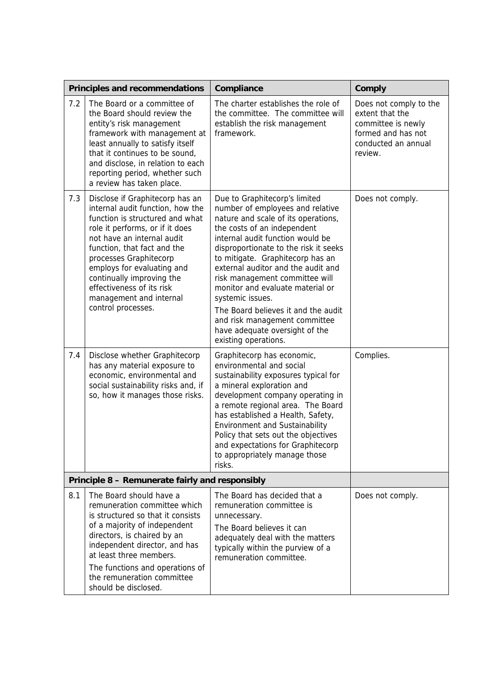|                                                 | Principles and recommendations                                                                                                                                                                                                                                                                                                                                            | Compliance                                                                                                                                                                                                                                                                                                                                                                                                                                                                                                                 | Comply                                                                                                                  |
|-------------------------------------------------|---------------------------------------------------------------------------------------------------------------------------------------------------------------------------------------------------------------------------------------------------------------------------------------------------------------------------------------------------------------------------|----------------------------------------------------------------------------------------------------------------------------------------------------------------------------------------------------------------------------------------------------------------------------------------------------------------------------------------------------------------------------------------------------------------------------------------------------------------------------------------------------------------------------|-------------------------------------------------------------------------------------------------------------------------|
| 7.2                                             | The Board or a committee of<br>the Board should review the<br>entity's risk management<br>framework with management at<br>least annually to satisfy itself<br>that it continues to be sound,<br>and disclose, in relation to each<br>reporting period, whether such<br>a review has taken place.                                                                          | The charter establishes the role of<br>the committee. The committee will<br>establish the risk management<br>framework.                                                                                                                                                                                                                                                                                                                                                                                                    | Does not comply to the<br>extent that the<br>committee is newly<br>formed and has not<br>conducted an annual<br>review. |
| 7.3                                             | Disclose if Graphitecorp has an<br>internal audit function, how the<br>function is structured and what<br>role it performs, or if it does<br>not have an internal audit<br>function, that fact and the<br>processes Graphitecorp<br>employs for evaluating and<br>continually improving the<br>effectiveness of its risk<br>management and internal<br>control processes. | Due to Graphitecorp's limited<br>number of employees and relative<br>nature and scale of its operations,<br>the costs of an independent<br>internal audit function would be<br>disproportionate to the risk it seeks<br>to mitigate. Graphitecorp has an<br>external auditor and the audit and<br>risk management committee will<br>monitor and evaluate material or<br>systemic issues.<br>The Board believes it and the audit<br>and risk management committee<br>have adequate oversight of the<br>existing operations. | Does not comply.                                                                                                        |
| 7.4                                             | Disclose whether Graphitecorp<br>has any material exposure to<br>economic, environmental and<br>social sustainability risks and, if<br>so, how it manages those risks.                                                                                                                                                                                                    | Graphitecorp has economic,<br>environmental and social<br>sustainability exposures typical for<br>a mineral exploration and<br>development company operating in<br>a remote regional area. The Board<br>has established a Health, Safety,<br><b>Environment and Sustainability</b><br>Policy that sets out the objectives<br>and expectations for Graphitecorp<br>to appropriately manage those<br>risks.                                                                                                                  | Complies.                                                                                                               |
| Principle 8 - Remunerate fairly and responsibly |                                                                                                                                                                                                                                                                                                                                                                           |                                                                                                                                                                                                                                                                                                                                                                                                                                                                                                                            |                                                                                                                         |
| 8.1                                             | The Board should have a<br>remuneration committee which<br>is structured so that it consists<br>of a majority of independent<br>directors, is chaired by an<br>independent director, and has<br>at least three members.<br>The functions and operations of<br>the remuneration committee<br>should be disclosed.                                                          | The Board has decided that a<br>remuneration committee is<br>unnecessary.<br>The Board believes it can<br>adequately deal with the matters<br>typically within the purview of a<br>remuneration committee.                                                                                                                                                                                                                                                                                                                 | Does not comply.                                                                                                        |